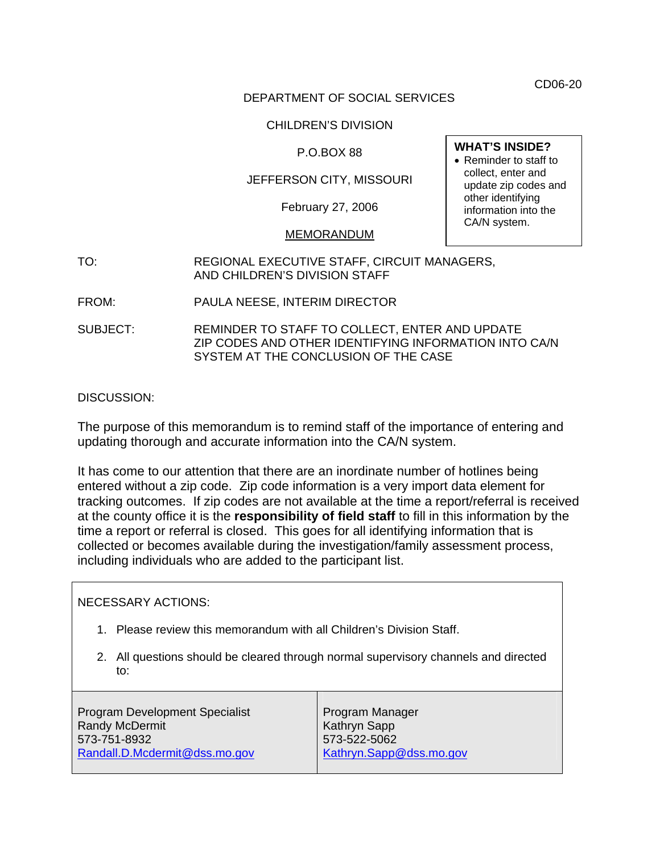CD06-20

## DEPARTMENT OF SOCIAL SERVICES

## CHILDREN'S DIVISION

## P.O.BOX 88

## JEFFERSON CITY, MISSOURI

February 27, 2006

#### MEMORANDUM

# TO: REGIONAL EXECUTIVE STAFF, CIRCUIT MANAGERS, AND CHILDREN'S DIVISION STAFF

- FROM: PAULA NEESE, INTERIM DIRECTOR
- SUBJECT: REMINDER TO STAFF TO COLLECT, ENTER AND UPDATE ZIP CODES AND OTHER IDENTIFYING INFORMATION INTO CA/N SYSTEM AT THE CONCLUSION OF THE CASE

### DISCUSSION:

The purpose of this memorandum is to remind staff of the importance of entering and updating thorough and accurate information into the CA/N system.

It has come to our attention that there are an inordinate number of hotlines being entered without a zip code. Zip code information is a very import data element for tracking outcomes. If zip codes are not available at the time a report/referral is received at the county office it is the **responsibility of field staff** to fill in this information by the time a report or referral is closed. This goes for all identifying information that is collected or becomes available during the investigation/family assessment process, including individuals who are added to the participant list.

#### NECESSARY ACTIONS:

- 1. Please review this memorandum with all Children's Division Staff.
- 2. All questions should be cleared through normal supervisory channels and directed to:

Program Development Specialist Randy McDermit 573-751-8932 [Randall.D.Mcdermit@dss.mo.gov](mailto:Randall.D.Mcdermit@dss.mo.gov) Program Manager Kathryn Sapp 573-522-5062 [Kathryn.Sapp@dss.mo.gov](mailto:Kathryn.Sapp@dss.mo.gov)

#### **WHAT'S INSIDE?**

• Reminder to staff to collect, enter and update zip codes and other identifying information into the CA/N system.